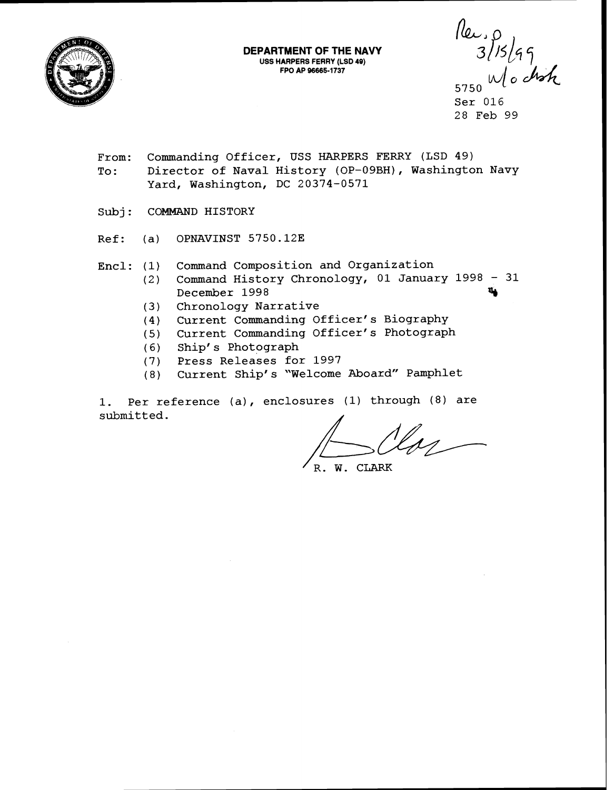

**DEPARTMENT OF THE NAVY USS HARPERS FERRY (LSD 49) FPO AP 96665-1737** 

 $\frac{\sqrt{2}}{3}$  1/5/99<br>5750 Mocton<br>Ser 016

28 Feb 99

- From: Commanding Officer, USS HARPERS FERRY (LSD 49) To: Director of Naval History (OP-09BH), Washington Navy Yard, Washington, DC 20374-0571
- Subj: COMMAND HISTORY
- Ref: (a) OPNAVINST 5750.12E
- Encl: (1) Command Composition and Organization
	- (2) Command History Chronology, 01 January 1998 <sup>31</sup> December 1998
	- (3) Chronology Narrative
	- (4) Current Commanding Officer's Biography
	- (5) Current Commanding Officer's Photograph
	- (6) Ship's Photograph
	- (7) Press Releases for 1997
	- ( 8) Current Ship' s "Welcome Aboard" Pamphlet

1. Per reference (a), enclosures (1) through (8) are submitted.

**'R. W.** CLARK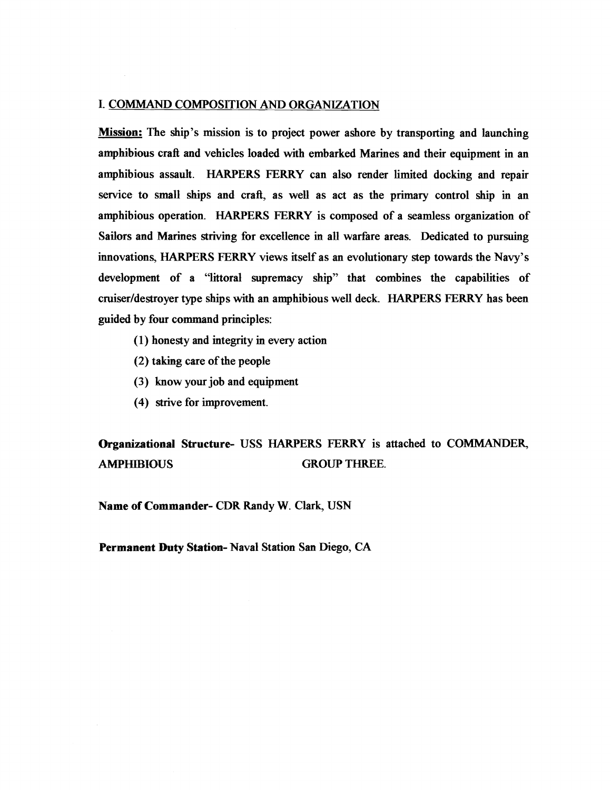## I. COMMAND COMPOSITION AND ORGANIZATION

Mission: The ship's mission is to project power ashore by transporting and launching amphibious craft and vehieles loaded with embarked Marines and their equipment in an amphibious assault. HARPERS FERRY can also render limited docking and repair service to small ships and craft, as well as act as the primary control ship in an amphibious operation. HARPERS FERRY is composed of a seamless organization of Sailors and Marines striving for excellence in all warfare areas. Dedicated to pursuing innovations, HARPERS FERRY views itself as an evolutionary step towards the Navy's development of a "littoral supremacy ship" that combines the capabilities of cruiser/destroyer type ships with an amphibious well deck. HARPERS FERRY has been guided by four command principles:

- (1) honesty and integrity in every action
- (2) taking care of the people
- (3) know your job and equipment
- (4) strive for improvement.

Organizational Structure- USS HARPERS FERRY is attached to COMMANDER, AMPHIBIOUS GROUP THREE.

Name of Commander- CDR Randy W. Clark, USN

Permanent Duty **Station-** Naval Station Sm **Diego, CA**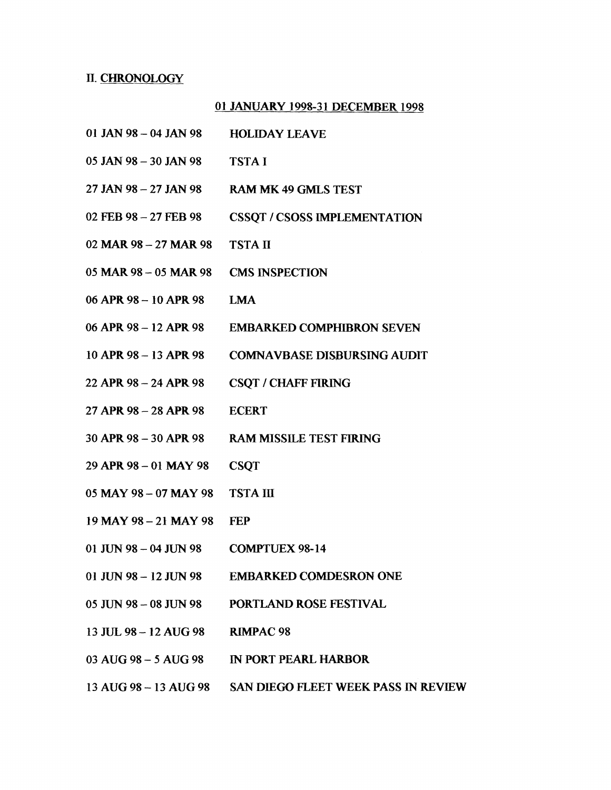## n. CHRONOLOGY

## 01 JANUARY 1998-3 **1** DECEMBER 1998

- 01 JAN 98 04 JAN 98 HOLIDAY LEAVE
- 05 JAN 98 30 JAN 98 TSTA I
- 27 JAN 98 27 JAN 98 RAM MK 49 GMLS TEST
- <sup>02</sup>**FEB** <sup>98</sup> <sup>27</sup>**EEB** 98 CSSQT / CSOSS IMPLEMENTATION
- 02 MAR 98 27 MAR 98 TSTA **II**
- <sup>05</sup>**MAR** <sup>98</sup> 05 MAR 98 CMS INSPECTION
- 06APR98-lOAPR98 **LMA**
- 06 APR 98 12 APR 98 EMBARKED COMPHIBRON SEVEN
- <sup>10</sup>**APR** <sup>98</sup> <sup>13</sup>**APR** 98 COMNAVBASE DISBURSING AUDIT
- 22 APR 98 24 APR 98 CSQT / CHAFF FIRING
- 27APR98-28APR98 ECERT
- 30APR98-30APR98 RAMMISSILETESTFIRING
- <sup>29</sup>**APR** 98 01 MAY 98 CSQT
- 05 MAY 98 07 MAY 98 TSTA III
- 19MAY98-21MAY98 **FEP**
- 01 JUN 98 04 JUN 98 COMPTUEX 98-14
- <sup>01</sup>**JUN** 98 12 JUN 98 **EMBAaKED** CQMDESRON ONE
- 05 JUN98-08JUN98 PORTLAND ROSE FESTIVAL
- <sup>13</sup>**JUL 98**  12 AUG 98 RlMPAC 98
- 03 AUG 98 5 AUG 98 IN PORT PEARL HARBOR
- 13 AUG 98 13 AUG 98 SAN DIEGO FLEET WEEK PASS IN REVIEW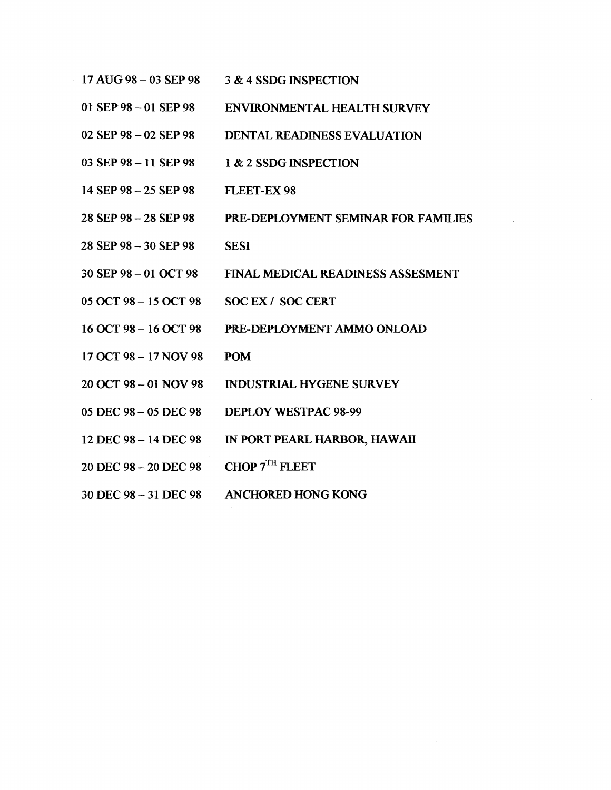- 17 AUG **98**  03 SEP **<sup>98</sup>** 3 & 4 SSDG INSPECTION
	- 01 SEP98 <sup>01</sup>**SEP98**  ENVIRONMENTAL **HEALTH** SURVEY
	- 02 SEP **98**  02 SEP **<sup>98</sup>** DENTAL READINESS EVALUATION
	- 03 SEP **98**  11 SEP **<sup>98</sup>** 1 & 2 SSDG INSPECTION
	- 14 SEP **98**  25 SEP **<sup>98</sup>** FLEET-EX **98**
	- 28 SEP **98**  28 SEP **<sup>98</sup>** PRE-DEPLOYMENT SEMINAR FOR FAMILIES
	- 28 SEP **98**  30 SEP **<sup>98</sup> SESI**
	- 30 SEP **98**  <sup>01</sup>OCT **<sup>98</sup>** FINAL MEDICAL, READINESS ASSESMENT
	- <sup>05</sup>**OCT 98 15** OCT **<sup>98</sup>** SOC EX / SOC CERT
	- 16 OCT98- 16OCT 98 PRE-DEPLOYMENT AMMO ONLOAD
	- 17 OCT **98**  17 NOV **<sup>98</sup>** POM
	- <sup>20</sup>**OCT 98**  01 NOV **<sup>98</sup>** INDUSTRIAL HYGENE SURVEY
	- 05 DEC **98**  05 DEC **<sup>98</sup>** DEPLOY WESTPAC **98-99**
	- 12 DEC **98-** 14DEC **98**  IN PORT PEARL HARBOR, HAWAII
	- 20 DEC **98**  20 DEC **<sup>98</sup>** CHOP 7TH FLEET
	- 30 DEC **98**  <sup>31</sup>**DEC** <sup>98</sup> ANCHORED HONG KONG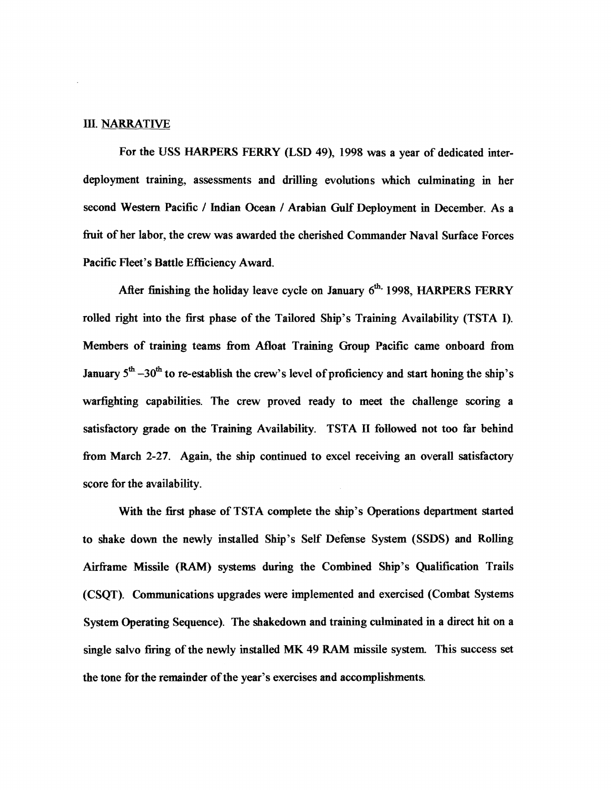## m. **NARRATIVE**

For the USS HARPERS FERRY (LSD 49), 1998 was a year of dedicated interdeployment training, assessments and drilling evolutions which culminating in her second **Western** Pacific / Indian Ocean / Arabian Gulf Deployment in December. As a fruit of her labor, the crew was awarded the cherished Commander Naval Surface Forces Pacific Fleet's Battle Efficiency Award.

After finishing the holiday leave cycle on January 6<sup>th,</sup> 1998, HARPERS FERRY rolled right into the first phase of the Tailored Ship's Training Availability (TSTA I). Members of training teams from Afloat Training Group Pacific came onboard from January  $5^{th}$  -30<sup>th</sup> to re-establish the crew's level of proficiency and start honing the ship's warfighting capabilities. The crew proved ready to meet the challenge scoring a satisfactory grade on **the** Training Availability. TSTA **II** hllowed not too far behind from March 2-27. Again, the ship continued to excel receiving an overall satisfactory score for the availability.

**With the first phase of** TSTA complete the ship's Operations department started to shake down the newly installed Ship's Self Defense System (SSDS) and Rolling Airframe Missile (RAM) systems during the Combined Ship's Qualification TraiIs (CSQT). Communications upgrades were implemented and exercised (Combat Systems System Operating Sequence). The shakedown and training culminated in a direct hit on a single salvo firing of the newly installed MK 49 RAM missile system. This success set the tone for the reminder of the year's exercises and accomplishments.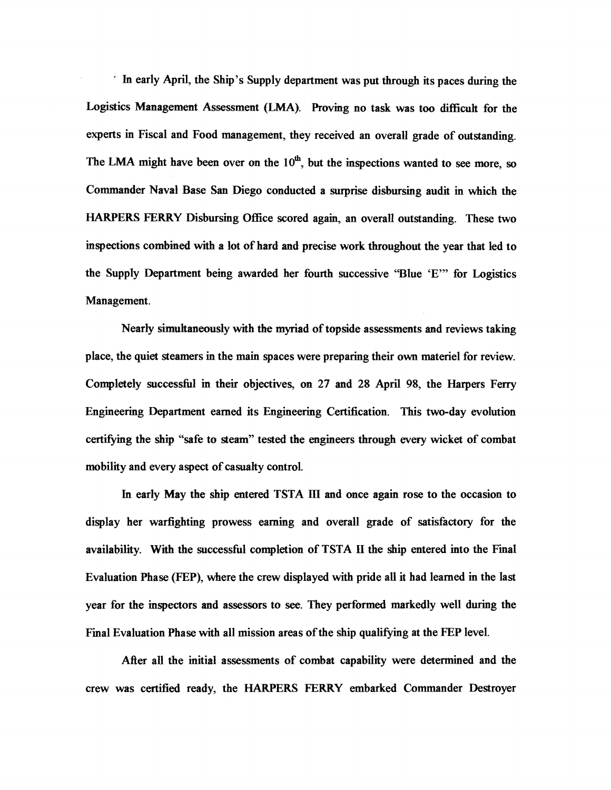In early April, the Ship's Supply department was put through its paces during the Logistics Management Assessment (LMA). Proving no task was too difficult for the experts in Fiscal and Food management, they received an overall grade of outstanding. The LMA might have been over on the 10<sup>th</sup>, but the inspections wanted to see more, so Commder Naval Base **San** Diego conducted a **swprise** disbursing audit in which the HARPERS FERRY Disbursing Office scored again, an overall outstanding. These two mspeetions combined with a lot of hard and precise work throughout the year that led to the Supply Department being awarded her fourth successive "Blue 'E'" for Logistics Management.

**Nearly** simultaneously with the myriad of topside assessments and reviews taking place, the quiet steamers in the main spaces were preparing their own materiel for review. Completely successhl **ia** their objectives, on 27 and 28 April 98, the Harpers Ferry Engineering Department earned its Engineering Certification. This two-day evolution certifying the ship "safe to steam" tested the engineers through every wicket of combat mobility and every aspect of casualty control.

In early May the ship entered TSTA III and once again rose to the occasion to display her warfighting prowess earning and overall grade of satisfactory for the availability. With the successful completion of TSTA **II** the **Ship** entered into the Final Evaluation Phase **(FEP),** where the crew displayed with pride all it had learned in the last year for the iaspectors and assessors to see. They performed markedly well during the Final Evaluation Phase with all mission areas of the ship qualifiring at the **FEP** level.

*ARer* all the initial assessments of combat capability were determined and the crew was certified ready, the HARPERS FERRY embarked Commander Destroyer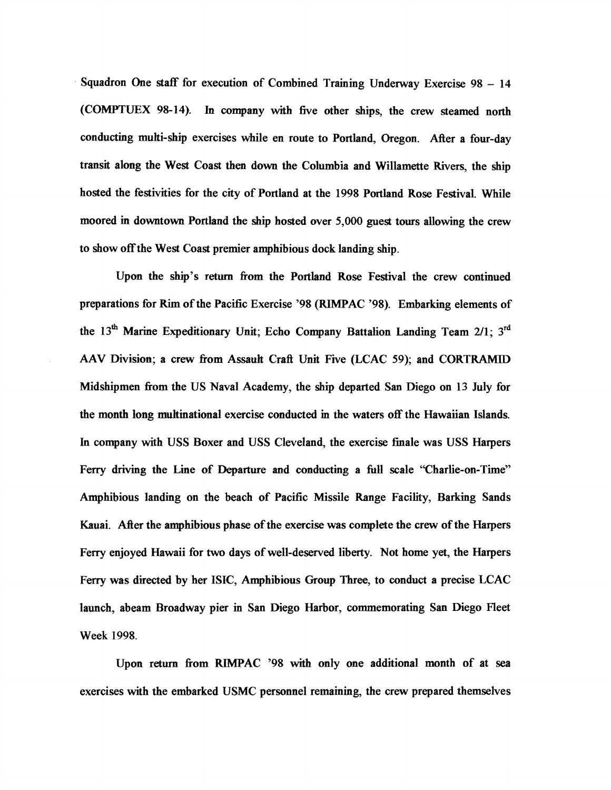Squadron One staff for execution of Combined Training Underway Exercise 98 - <sup>14</sup> (COMPTUEX 98-14). In company with five other ships, the crew steamed north conducting multi-ship exercises while en route to Portland, Oregon. After a four-day transit along the West Coast then down the Columbia and Willamette Rivers, the ship hosted the festivities for the city of Portland at the 1998 Portland Rose Festival. While moored in downtown Portland the ship hosted over 5,000 guest tours allowing the crew to show off the West Coast premier amphibious dock landing ship.

Upon the ship's return from the Portland Rose Festival the crew continued preparations for Rim of the Pacific Exercise '98 (RIMPAC '98). Embarking elements of the 13<sup>th</sup> Marine Expeditionary Unit; Echo Company Battalion Landing Team 2/1; 3<sup>rd</sup> **AAV** Division; a crew fiom Assault Craft Unit Five (LCAC 59); and CORTRAMID Midshipmen fiom the US Naval Academy, the ship departed San Diego on **13** July for the month long multinational exercise conducted in the waters off the Hawaiian Islands. In company with USS Boxer and USS Cleveland, the exercise finale was USS Harpers Ferry driving the Line of Departure and conducting a full scale "Charlie-on-Time" Amphibious landing on the beach of Pacific Missile Range Facility, Barking Sands *K;tuai.* **Mer** the *amphibious* phase of the exercise was complete the crew of the Harpers Ferry enjoyed Hawaii for two days of well-deserved liberty. Not home yet, the Harpers Ferry *was* directed by her ISIC, Amphibious **Croup** Three, to eonduct *a* precise LCAC launch, abeam Broadway pier in San Diego Harbor, commemorating San Diego Fleet Week 1998.

Upon return from RIMPAC '98 with only one additional month of at sea exercises with the embarked USMC personnel remaining, the crew prepared themselves